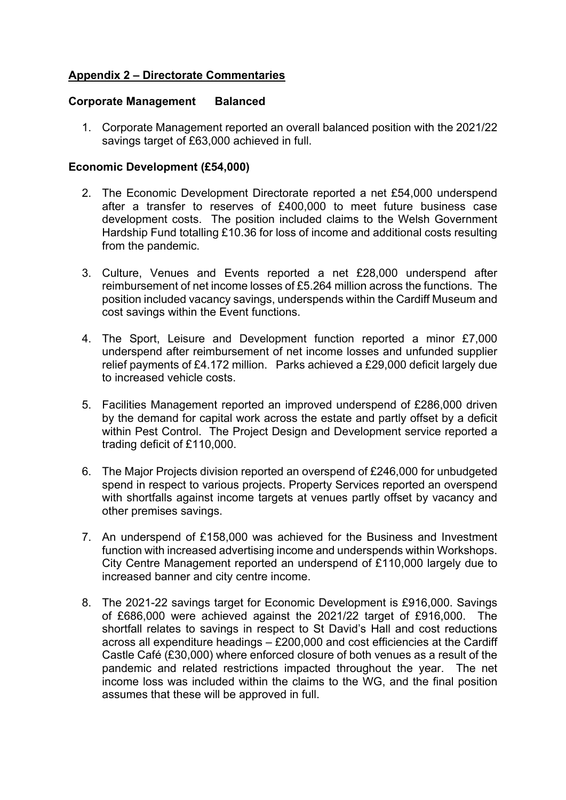## **Appendix 2 – Directorate Commentaries**

#### **Corporate Management Balanced**

1. Corporate Management reported an overall balanced position with the 2021/22 savings target of £63,000 achieved in full.

#### **Economic Development (£54,000)**

- 2. The Economic Development Directorate reported a net £54,000 underspend after a transfer to reserves of £400,000 to meet future business case development costs. The position included claims to the Welsh Government Hardship Fund totalling £10.36 for loss of income and additional costs resulting from the pandemic.
- 3. Culture, Venues and Events reported a net £28,000 underspend after reimbursement of net income losses of £5.264 million across the functions. The position included vacancy savings, underspends within the Cardiff Museum and cost savings within the Event functions.
- 4. The Sport, Leisure and Development function reported a minor £7,000 underspend after reimbursement of net income losses and unfunded supplier relief payments of £4.172 million. Parks achieved a £29,000 deficit largely due to increased vehicle costs.
- 5. Facilities Management reported an improved underspend of £286,000 driven by the demand for capital work across the estate and partly offset by a deficit within Pest Control. The Project Design and Development service reported a trading deficit of £110,000.
- 6. The Major Projects division reported an overspend of £246,000 for unbudgeted spend in respect to various projects. Property Services reported an overspend with shortfalls against income targets at venues partly offset by vacancy and other premises savings.
- 7. An underspend of £158,000 was achieved for the Business and Investment function with increased advertising income and underspends within Workshops. City Centre Management reported an underspend of £110,000 largely due to increased banner and city centre income.
- 8. The 2021-22 savings target for Economic Development is £916,000. Savings of £686,000 were achieved against the 2021/22 target of £916,000. The shortfall relates to savings in respect to St David's Hall and cost reductions across all expenditure headings – £200,000 and cost efficiencies at the Cardiff Castle Café (£30,000) where enforced closure of both venues as a result of the pandemic and related restrictions impacted throughout the year. The net income loss was included within the claims to the WG, and the final position assumes that these will be approved in full.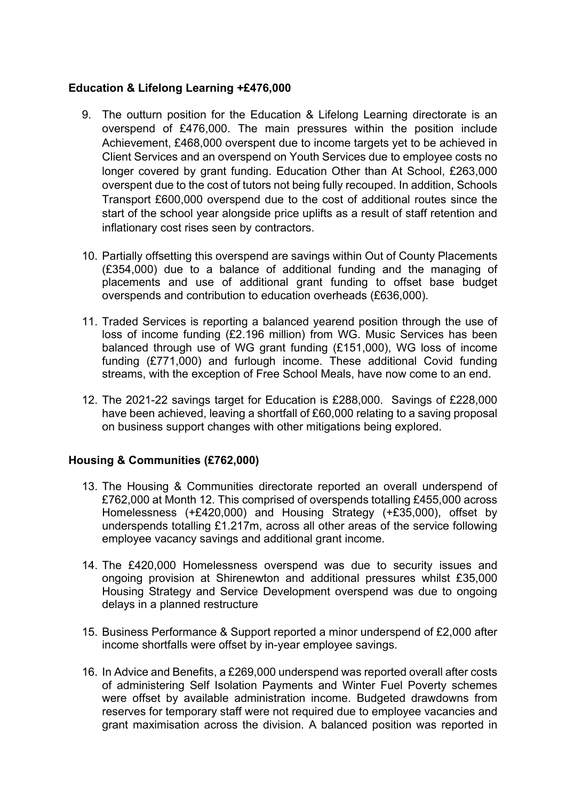### **Education & Lifelong Learning +£476,000**

- 9. The outturn position for the Education & Lifelong Learning directorate is an overspend of £476,000. The main pressures within the position include Achievement, £468,000 overspent due to income targets yet to be achieved in Client Services and an overspend on Youth Services due to employee costs no longer covered by grant funding. Education Other than At School, £263,000 overspent due to the cost of tutors not being fully recouped. In addition, Schools Transport £600,000 overspend due to the cost of additional routes since the start of the school year alongside price uplifts as a result of staff retention and inflationary cost rises seen by contractors.
- 10. Partially offsetting this overspend are savings within Out of County Placements (£354,000) due to a balance of additional funding and the managing of placements and use of additional grant funding to offset base budget overspends and contribution to education overheads (£636,000).
- 11. Traded Services is reporting a balanced yearend position through the use of loss of income funding (£2.196 million) from WG. Music Services has been balanced through use of WG grant funding (£151,000), WG loss of income funding (£771,000) and furlough income. These additional Covid funding streams, with the exception of Free School Meals, have now come to an end.
- 12. The 2021-22 savings target for Education is £288,000. Savings of £228,000 have been achieved, leaving a shortfall of £60,000 relating to a saving proposal on business support changes with other mitigations being explored.

# **Housing & Communities (£762,000)**

- 13. The Housing & Communities directorate reported an overall underspend of £762,000 at Month 12. This comprised of overspends totalling £455,000 across Homelessness (+£420,000) and Housing Strategy (+£35,000), offset by underspends totalling £1.217m, across all other areas of the service following employee vacancy savings and additional grant income.
- 14. The £420,000 Homelessness overspend was due to security issues and ongoing provision at Shirenewton and additional pressures whilst £35,000 Housing Strategy and Service Development overspend was due to ongoing delays in a planned restructure
- 15. Business Performance & Support reported a minor underspend of £2,000 after income shortfalls were offset by in-year employee savings.
- 16. In Advice and Benefits, a £269,000 underspend was reported overall after costs of administering Self Isolation Payments and Winter Fuel Poverty schemes were offset by available administration income. Budgeted drawdowns from reserves for temporary staff were not required due to employee vacancies and grant maximisation across the division. A balanced position was reported in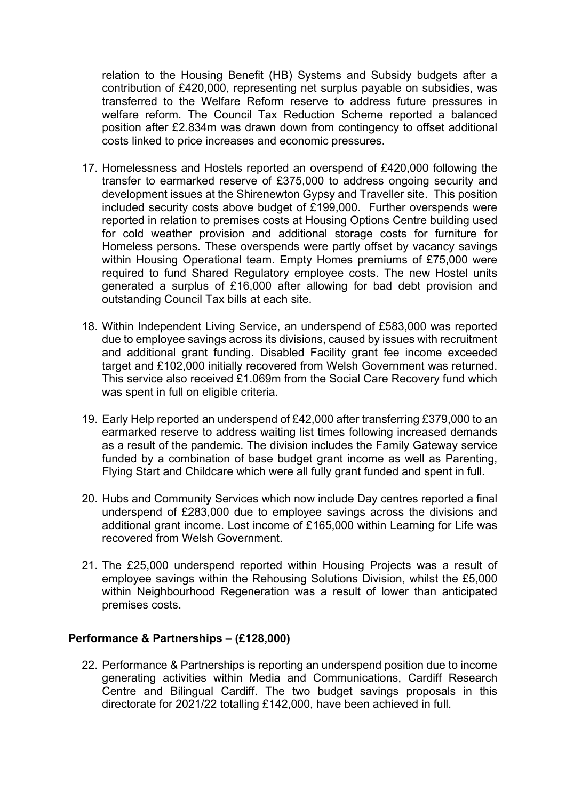relation to the Housing Benefit (HB) Systems and Subsidy budgets after a contribution of £420,000, representing net surplus payable on subsidies, was transferred to the Welfare Reform reserve to address future pressures in welfare reform. The Council Tax Reduction Scheme reported a balanced position after £2.834m was drawn down from contingency to offset additional costs linked to price increases and economic pressures.

- 17. Homelessness and Hostels reported an overspend of £420,000 following the transfer to earmarked reserve of £375,000 to address ongoing security and development issues at the Shirenewton Gypsy and Traveller site. This position included security costs above budget of £199,000. Further overspends were reported in relation to premises costs at Housing Options Centre building used for cold weather provision and additional storage costs for furniture for Homeless persons. These overspends were partly offset by vacancy savings within Housing Operational team. Empty Homes premiums of £75,000 were required to fund Shared Regulatory employee costs. The new Hostel units generated a surplus of £16,000 after allowing for bad debt provision and outstanding Council Tax bills at each site.
- 18. Within Independent Living Service, an underspend of £583,000 was reported due to employee savings across its divisions, caused by issues with recruitment and additional grant funding. Disabled Facility grant fee income exceeded target and £102,000 initially recovered from Welsh Government was returned. This service also received £1.069m from the Social Care Recovery fund which was spent in full on eligible criteria.
- 19. Early Help reported an underspend of £42,000 after transferring £379,000 to an earmarked reserve to address waiting list times following increased demands as a result of the pandemic. The division includes the Family Gateway service funded by a combination of base budget grant income as well as Parenting, Flying Start and Childcare which were all fully grant funded and spent in full.
- 20. Hubs and Community Services which now include Day centres reported a final underspend of £283,000 due to employee savings across the divisions and additional grant income. Lost income of £165,000 within Learning for Life was recovered from Welsh Government.
- 21. The £25,000 underspend reported within Housing Projects was a result of employee savings within the Rehousing Solutions Division, whilst the £5,000 within Neighbourhood Regeneration was a result of lower than anticipated premises costs.

### **Performance & Partnerships – (£128,000)**

22. Performance & Partnerships is reporting an underspend position due to income generating activities within Media and Communications, Cardiff Research Centre and Bilingual Cardiff. The two budget savings proposals in this directorate for 2021/22 totalling £142,000, have been achieved in full.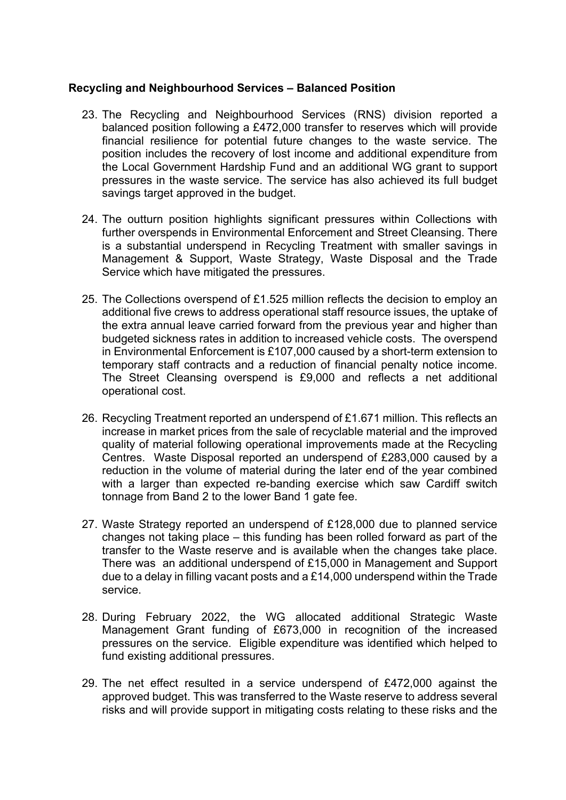### **Recycling and Neighbourhood Services – Balanced Position**

- 23. The Recycling and Neighbourhood Services (RNS) division reported a balanced position following a £472,000 transfer to reserves which will provide financial resilience for potential future changes to the waste service. The position includes the recovery of lost income and additional expenditure from the Local Government Hardship Fund and an additional WG grant to support pressures in the waste service. The service has also achieved its full budget savings target approved in the budget.
- 24. The outturn position highlights significant pressures within Collections with further overspends in Environmental Enforcement and Street Cleansing. There is a substantial underspend in Recycling Treatment with smaller savings in Management & Support, Waste Strategy, Waste Disposal and the Trade Service which have mitigated the pressures.
- 25. The Collections overspend of £1.525 million reflects the decision to employ an additional five crews to address operational staff resource issues, the uptake of the extra annual leave carried forward from the previous year and higher than budgeted sickness rates in addition to increased vehicle costs. The overspend in Environmental Enforcement is £107,000 caused by a short-term extension to temporary staff contracts and a reduction of financial penalty notice income. The Street Cleansing overspend is £9,000 and reflects a net additional operational cost.
- 26. Recycling Treatment reported an underspend of £1.671 million. This reflects an increase in market prices from the sale of recyclable material and the improved quality of material following operational improvements made at the Recycling Centres. Waste Disposal reported an underspend of £283,000 caused by a reduction in the volume of material during the later end of the year combined with a larger than expected re-banding exercise which saw Cardiff switch tonnage from Band 2 to the lower Band 1 gate fee.
- 27. Waste Strategy reported an underspend of £128,000 due to planned service changes not taking place – this funding has been rolled forward as part of the transfer to the Waste reserve and is available when the changes take place. There was an additional underspend of £15,000 in Management and Support due to a delay in filling vacant posts and a £14,000 underspend within the Trade service.
- 28. During February 2022, the WG allocated additional Strategic Waste Management Grant funding of £673,000 in recognition of the increased pressures on the service. Eligible expenditure was identified which helped to fund existing additional pressures.
- 29. The net effect resulted in a service underspend of £472,000 against the approved budget. This was transferred to the Waste reserve to address several risks and will provide support in mitigating costs relating to these risks and the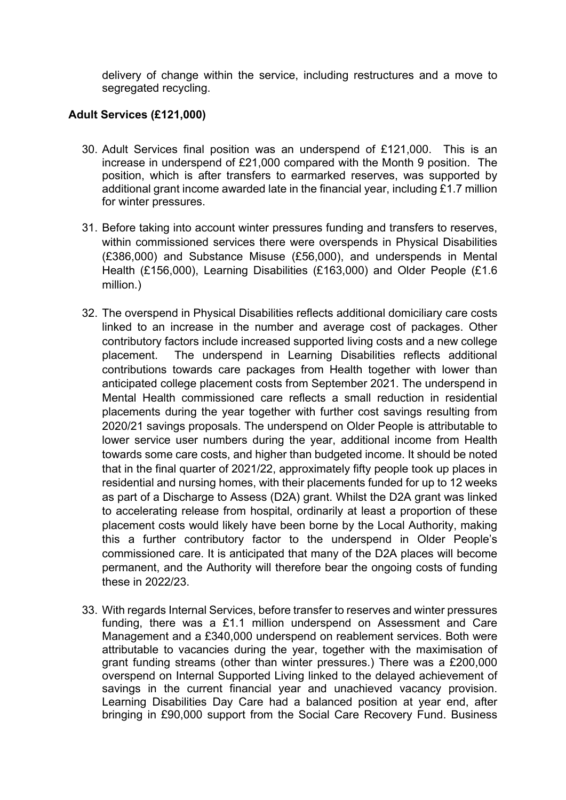delivery of change within the service, including restructures and a move to segregated recycling.

# **Adult Services (£121,000)**

- 30. Adult Services final position was an underspend of £121,000. This is an increase in underspend of £21,000 compared with the Month 9 position. The position, which is after transfers to earmarked reserves, was supported by additional grant income awarded late in the financial year, including £1.7 million for winter pressures.
- 31. Before taking into account winter pressures funding and transfers to reserves, within commissioned services there were overspends in Physical Disabilities (£386,000) and Substance Misuse (£56,000), and underspends in Mental Health (£156,000), Learning Disabilities (£163,000) and Older People (£1.6 million.)
- 32. The overspend in Physical Disabilities reflects additional domiciliary care costs linked to an increase in the number and average cost of packages. Other contributory factors include increased supported living costs and a new college placement. The underspend in Learning Disabilities reflects additional contributions towards care packages from Health together with lower than anticipated college placement costs from September 2021. The underspend in Mental Health commissioned care reflects a small reduction in residential placements during the year together with further cost savings resulting from 2020/21 savings proposals. The underspend on Older People is attributable to lower service user numbers during the year, additional income from Health towards some care costs, and higher than budgeted income. It should be noted that in the final quarter of 2021/22, approximately fifty people took up places in residential and nursing homes, with their placements funded for up to 12 weeks as part of a Discharge to Assess (D2A) grant. Whilst the D2A grant was linked to accelerating release from hospital, ordinarily at least a proportion of these placement costs would likely have been borne by the Local Authority, making this a further contributory factor to the underspend in Older People's commissioned care. It is anticipated that many of the D2A places will become permanent, and the Authority will therefore bear the ongoing costs of funding these in 2022/23.
- 33. With regards Internal Services, before transfer to reserves and winter pressures funding, there was a £1.1 million underspend on Assessment and Care Management and a £340,000 underspend on reablement services. Both were attributable to vacancies during the year, together with the maximisation of grant funding streams (other than winter pressures.) There was a £200,000 overspend on Internal Supported Living linked to the delayed achievement of savings in the current financial year and unachieved vacancy provision. Learning Disabilities Day Care had a balanced position at year end, after bringing in £90,000 support from the Social Care Recovery Fund. Business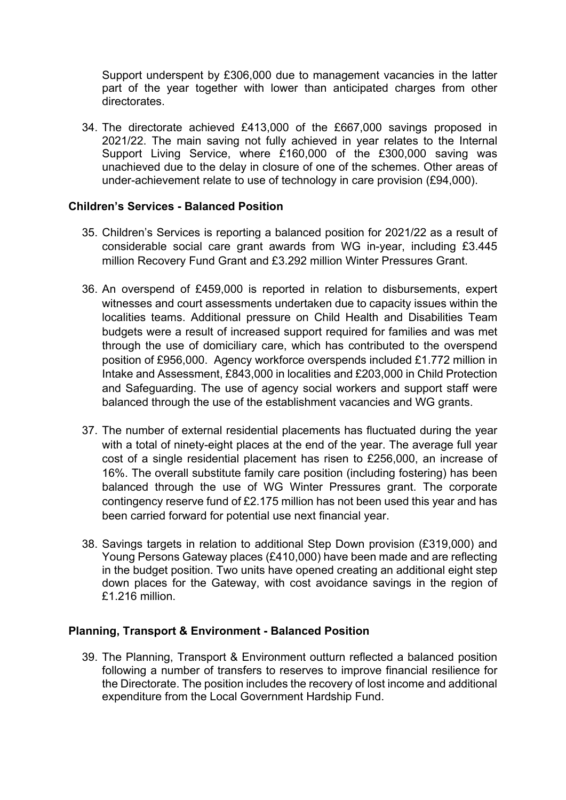Support underspent by £306,000 due to management vacancies in the latter part of the year together with lower than anticipated charges from other directorates.

34. The directorate achieved £413,000 of the £667,000 savings proposed in 2021/22. The main saving not fully achieved in year relates to the Internal Support Living Service, where £160,000 of the £300,000 saving was unachieved due to the delay in closure of one of the schemes. Other areas of under-achievement relate to use of technology in care provision (£94,000).

### **Children's Services - Balanced Position**

- 35. Children's Services is reporting a balanced position for 2021/22 as a result of considerable social care grant awards from WG in-year, including £3.445 million Recovery Fund Grant and £3.292 million Winter Pressures Grant.
- 36. An overspend of £459,000 is reported in relation to disbursements, expert witnesses and court assessments undertaken due to capacity issues within the localities teams. Additional pressure on Child Health and Disabilities Team budgets were a result of increased support required for families and was met through the use of domiciliary care, which has contributed to the overspend position of £956,000. Agency workforce overspends included £1.772 million in Intake and Assessment, £843,000 in localities and £203,000 in Child Protection and Safeguarding. The use of agency social workers and support staff were balanced through the use of the establishment vacancies and WG grants.
- 37. The number of external residential placements has fluctuated during the year with a total of ninety-eight places at the end of the year. The average full year cost of a single residential placement has risen to £256,000, an increase of 16%. The overall substitute family care position (including fostering) has been balanced through the use of WG Winter Pressures grant. The corporate contingency reserve fund of £2.175 million has not been used this year and has been carried forward for potential use next financial year.
- 38. Savings targets in relation to additional Step Down provision (£319,000) and Young Persons Gateway places (£410,000) have been made and are reflecting in the budget position. Two units have opened creating an additional eight step down places for the Gateway, with cost avoidance savings in the region of £1.216 million.

### **Planning, Transport & Environment - Balanced Position**

39. The Planning, Transport & Environment outturn reflected a balanced position following a number of transfers to reserves to improve financial resilience for the Directorate. The position includes the recovery of lost income and additional expenditure from the Local Government Hardship Fund.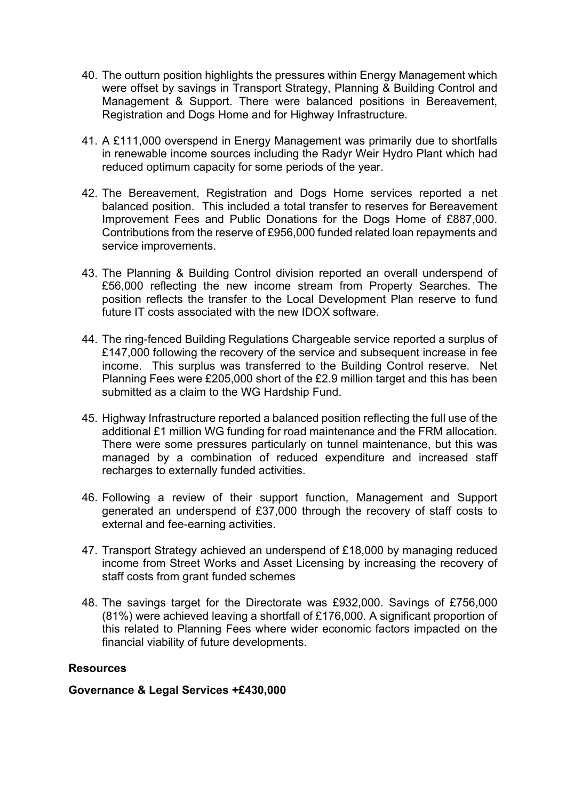- 40. The outturn position highlights the pressures within Energy Management which were offset by savings in Transport Strategy, Planning & Building Control and Management & Support. There were balanced positions in Bereavement, Registration and Dogs Home and for Highway Infrastructure.
- 41. A £111,000 overspend in Energy Management was primarily due to shortfalls in renewable income sources including the Radyr Weir Hydro Plant which had reduced optimum capacity for some periods of the year.
- 42. The Bereavement, Registration and Dogs Home services reported a net balanced position. This included a total transfer to reserves for Bereavement Improvement Fees and Public Donations for the Dogs Home of £887,000. Contributions from the reserve of £956,000 funded related loan repayments and service improvements.
- 43. The Planning & Building Control division reported an overall underspend of £56,000 reflecting the new income stream from Property Searches. The position reflects the transfer to the Local Development Plan reserve to fund future IT costs associated with the new IDOX software.
- 44. The ring-fenced Building Regulations Chargeable service reported a surplus of £147,000 following the recovery of the service and subsequent increase in fee income. This surplus was transferred to the Building Control reserve. Net Planning Fees were £205,000 short of the £2.9 million target and this has been submitted as a claim to the WG Hardship Fund.
- 45. Highway Infrastructure reported a balanced position reflecting the full use of the additional £1 million WG funding for road maintenance and the FRM allocation. There were some pressures particularly on tunnel maintenance, but this was managed by a combination of reduced expenditure and increased staff recharges to externally funded activities.
- 46. Following a review of their support function, Management and Support generated an underspend of £37,000 through the recovery of staff costs to external and fee-earning activities.
- 47. Transport Strategy achieved an underspend of £18,000 by managing reduced income from Street Works and Asset Licensing by increasing the recovery of staff costs from grant funded schemes
- 48. The savings target for the Directorate was £932,000. Savings of £756,000 (81%) were achieved leaving a shortfall of £176,000. A significant proportion of this related to Planning Fees where wider economic factors impacted on the financial viability of future developments.

### **Resources**

### **Governance & Legal Services +£430,000**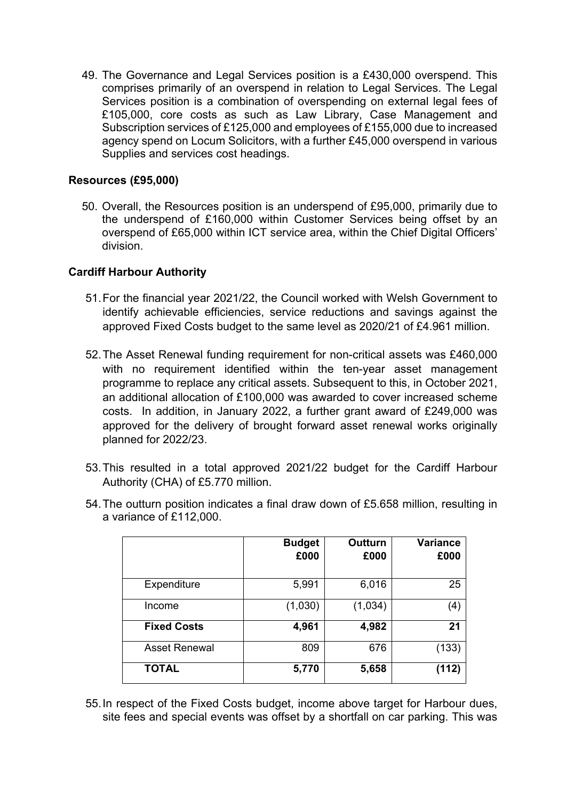49. The Governance and Legal Services position is a £430,000 overspend. This comprises primarily of an overspend in relation to Legal Services. The Legal Services position is a combination of overspending on external legal fees of £105,000, core costs as such as Law Library, Case Management and Subscription services of £125,000 and employees of £155,000 due to increased agency spend on Locum Solicitors, with a further £45,000 overspend in various Supplies and services cost headings.

### **Resources (£95,000)**

50. Overall, the Resources position is an underspend of £95,000, primarily due to the underspend of £160,000 within Customer Services being offset by an overspend of £65,000 within ICT service area, within the Chief Digital Officers' division.

# **Cardiff Harbour Authority**

- 51.For the financial year 2021/22, the Council worked with Welsh Government to identify achievable efficiencies, service reductions and savings against the approved Fixed Costs budget to the same level as 2020/21 of £4.961 million.
- 52.The Asset Renewal funding requirement for non-critical assets was £460,000 with no requirement identified within the ten-year asset management programme to replace any critical assets. Subsequent to this, in October 2021, an additional allocation of £100,000 was awarded to cover increased scheme costs. In addition, in January 2022, a further grant award of £249,000 was approved for the delivery of brought forward asset renewal works originally planned for 2022/23.
- 53.This resulted in a total approved 2021/22 budget for the Cardiff Harbour Authority (CHA) of £5.770 million.
- 54.The outturn position indicates a final draw down of £5.658 million, resulting in a variance of £112,000.

|                      | <b>Budget</b><br>£000 | <b>Outturn</b><br>£000 | <b>Variance</b><br>£000 |
|----------------------|-----------------------|------------------------|-------------------------|
| Expenditure          | 5,991                 | 6,016                  | 25                      |
| Income               | (1,030)               | (1,034)                | (4)                     |
| <b>Fixed Costs</b>   | 4,961                 | 4,982                  | 21                      |
| <b>Asset Renewal</b> | 809                   | 676                    | (133)                   |
| <b>TOTAL</b>         | 5,770                 | 5,658                  | (112)                   |

55.In respect of the Fixed Costs budget, income above target for Harbour dues, site fees and special events was offset by a shortfall on car parking. This was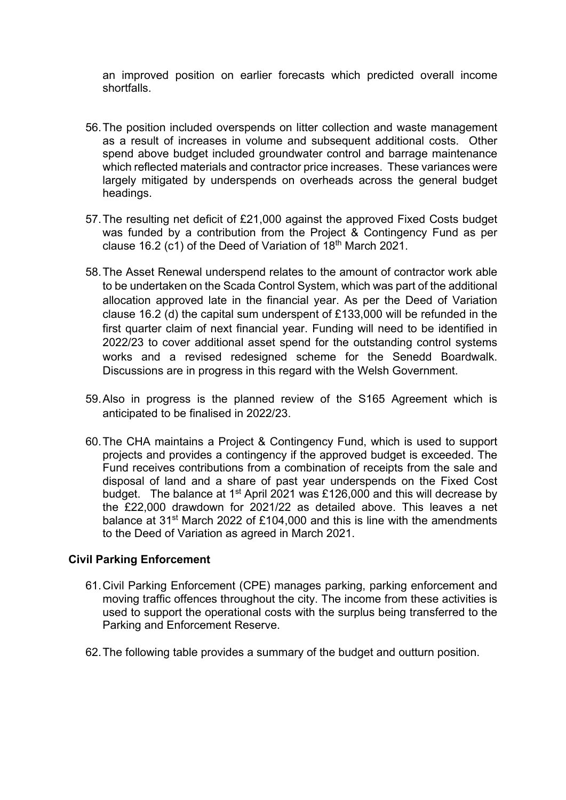an improved position on earlier forecasts which predicted overall income shortfalls.

- 56.The position included overspends on litter collection and waste management as a result of increases in volume and subsequent additional costs. Other spend above budget included groundwater control and barrage maintenance which reflected materials and contractor price increases. These variances were largely mitigated by underspends on overheads across the general budget headings.
- 57.The resulting net deficit of £21,000 against the approved Fixed Costs budget was funded by a contribution from the Project & Contingency Fund as per clause 16.2 (c1) of the Deed of Variation of  $18<sup>th</sup>$  March 2021.
- 58.The Asset Renewal underspend relates to the amount of contractor work able to be undertaken on the Scada Control System, which was part of the additional allocation approved late in the financial year. As per the Deed of Variation clause 16.2 (d) the capital sum underspent of £133,000 will be refunded in the first quarter claim of next financial year. Funding will need to be identified in 2022/23 to cover additional asset spend for the outstanding control systems works and a revised redesigned scheme for the Senedd Boardwalk. Discussions are in progress in this regard with the Welsh Government.
- 59.Also in progress is the planned review of the S165 Agreement which is anticipated to be finalised in 2022/23.
- 60.The CHA maintains a Project & Contingency Fund, which is used to support projects and provides a contingency if the approved budget is exceeded. The Fund receives contributions from a combination of receipts from the sale and disposal of land and a share of past year underspends on the Fixed Cost budget. The balance at 1st April 2021 was £126,000 and this will decrease by the £22,000 drawdown for 2021/22 as detailed above. This leaves a net balance at 31<sup>st</sup> March 2022 of £104,000 and this is line with the amendments to the Deed of Variation as agreed in March 2021.

### **Civil Parking Enforcement**

- 61.Civil Parking Enforcement (CPE) manages parking, parking enforcement and moving traffic offences throughout the city. The income from these activities is used to support the operational costs with the surplus being transferred to the Parking and Enforcement Reserve.
- 62.The following table provides a summary of the budget and outturn position.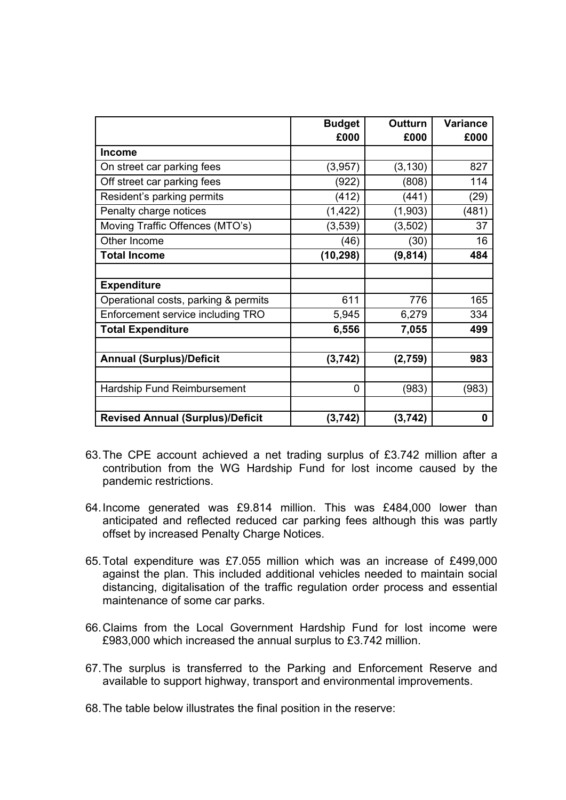|                                         | <b>Budget</b><br>£000 | <b>Outturn</b><br>£000 | Variance<br>£000 |
|-----------------------------------------|-----------------------|------------------------|------------------|
| <b>Income</b>                           |                       |                        |                  |
|                                         |                       |                        |                  |
| On street car parking fees              | (3,957)               | (3, 130)               | 827              |
| Off street car parking fees             | (922)                 | (808)                  | 114              |
| Resident's parking permits              | (412)                 | (441)                  | (29)             |
| Penalty charge notices                  | (1, 422)              | (1,903)                | (481)            |
| Moving Traffic Offences (MTO's)         | (3, 539)              | (3, 502)               | 37               |
| Other Income                            | (46)                  | (30)                   | 16               |
| <b>Total Income</b>                     | (10, 298)             | (9, 814)               | 484              |
|                                         |                       |                        |                  |
| <b>Expenditure</b>                      |                       |                        |                  |
| Operational costs, parking & permits    | 611                   | 776                    | 165              |
| Enforcement service including TRO       | 5,945                 | 6,279                  | 334              |
| <b>Total Expenditure</b>                | 6,556                 | 7,055                  | 499              |
|                                         |                       |                        |                  |
| <b>Annual (Surplus)/Deficit</b>         | (3, 742)              | (2,759)                | 983              |
|                                         |                       |                        |                  |
| Hardship Fund Reimbursement             | 0                     | (983)                  | (983)            |
|                                         |                       |                        |                  |
| <b>Revised Annual (Surplus)/Deficit</b> | (3, 742)              | (3, 742)               | 0                |

- 63.The CPE account achieved a net trading surplus of £3.742 million after a contribution from the WG Hardship Fund for lost income caused by the pandemic restrictions.
- 64.Income generated was £9.814 million. This was £484,000 lower than anticipated and reflected reduced car parking fees although this was partly offset by increased Penalty Charge Notices.
- 65.Total expenditure was £7.055 million which was an increase of £499,000 against the plan. This included additional vehicles needed to maintain social distancing, digitalisation of the traffic regulation order process and essential maintenance of some car parks.
- 66.Claims from the Local Government Hardship Fund for lost income were £983,000 which increased the annual surplus to £3.742 million.
- 67.The surplus is transferred to the Parking and Enforcement Reserve and available to support highway, transport and environmental improvements.
- 68.The table below illustrates the final position in the reserve: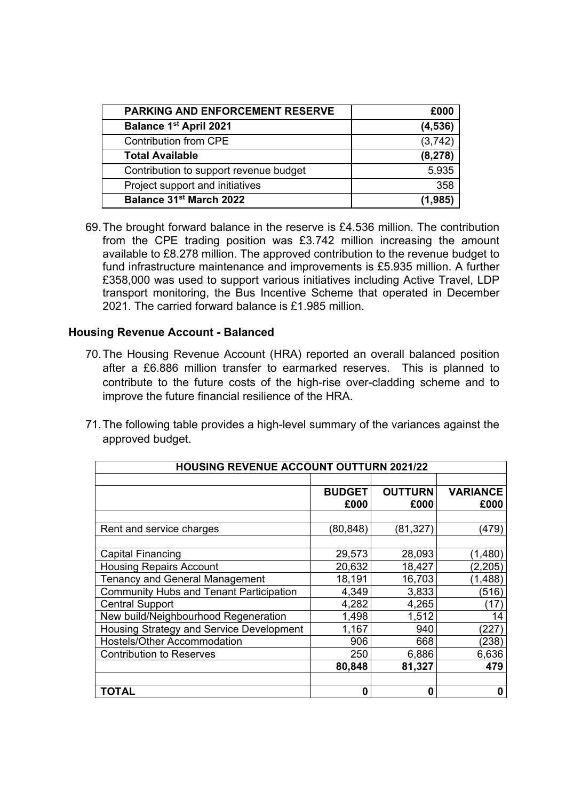| <b>PARKING AND ENFORCEMENT RESERVE</b> | £000     |
|----------------------------------------|----------|
| <b>Balance 1st April 2021</b>          | (4,536)  |
| Contribution from CPE                  | (3, 742) |
| <b>Total Available</b>                 | (8, 278) |
| Contribution to support revenue budget | 5,935    |
| Project support and initiatives        | 358      |
| Balance 31 <sup>st</sup> March 2022    | (1,985)  |

69.The brought forward balance in the reserve is £4.536 million. The contribution from the CPE trading position was £3.742 million increasing the amount available to £8.278 million. The approved contribution to the revenue budget to fund infrastructure maintenance and improvements is £5.935 million. A further £358,000 was used to support various initiatives including Active Travel, LDP transport monitoring, the Bus Incentive Scheme that operated in December 2021. The carried forward balance is £1.985 million.

#### **Housing Revenue Account - Balanced**

- 70.The Housing Revenue Account (HRA) reported an overall balanced position after a £6.886 million transfer to earmarked reserves. This is planned to contribute to the future costs of the high-rise over-cladding scheme and to improve the future financial resilience of the HRA.
- 71.The following table provides a high-level summary of the variances against the approved budget.

| <b>HOUSING REVENUE ACCOUNT OUTTURN 2021/22</b> |               |                |                 |  |  |
|------------------------------------------------|---------------|----------------|-----------------|--|--|
|                                                |               |                |                 |  |  |
|                                                | <b>BUDGET</b> | <b>OUTTURN</b> | <b>VARIANCE</b> |  |  |
|                                                | £000          | £000           | £000            |  |  |
|                                                |               |                |                 |  |  |
| Rent and service charges                       | (80, 848)     | (81, 327)      | (479)           |  |  |
|                                                |               |                |                 |  |  |
| <b>Capital Financing</b>                       | 29,573        | 28,093         | (1,480)         |  |  |
| <b>Housing Repairs Account</b>                 | 20,632        | 18,427         | (2, 205)        |  |  |
| <b>Tenancy and General Management</b>          | 18,191        | 16,703         | (1, 488)        |  |  |
| <b>Community Hubs and Tenant Participation</b> | 4,349         | 3,833          | (516)           |  |  |
| <b>Central Support</b>                         | 4,282         | 4,265          | (17)            |  |  |
| New build/Neighbourhood Regeneration           | 1,498         | 1,512          | 14              |  |  |
| Housing Strategy and Service Development       | 1,167         | 940            | (227)           |  |  |
| Hostels/Other Accommodation                    | 906           | 668            | (238)           |  |  |
| <b>Contribution to Reserves</b>                | 250           | 6,886          | 6,636           |  |  |
|                                                | 80,848        | 81,327         | 479             |  |  |
|                                                |               |                |                 |  |  |
| TOTAL                                          | 0             | 0              | 0               |  |  |